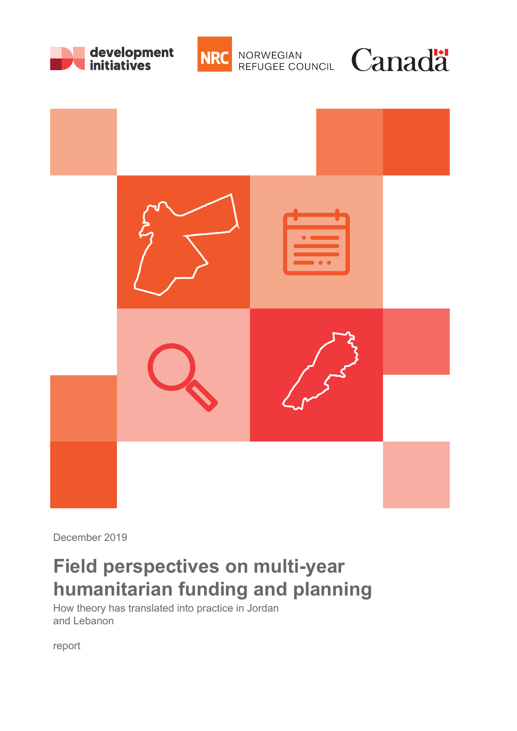







December 2019

## **Field perspectives on multi-year humanitarian funding and planning**

How theory has translated into practice in Jordan and Lebanon

report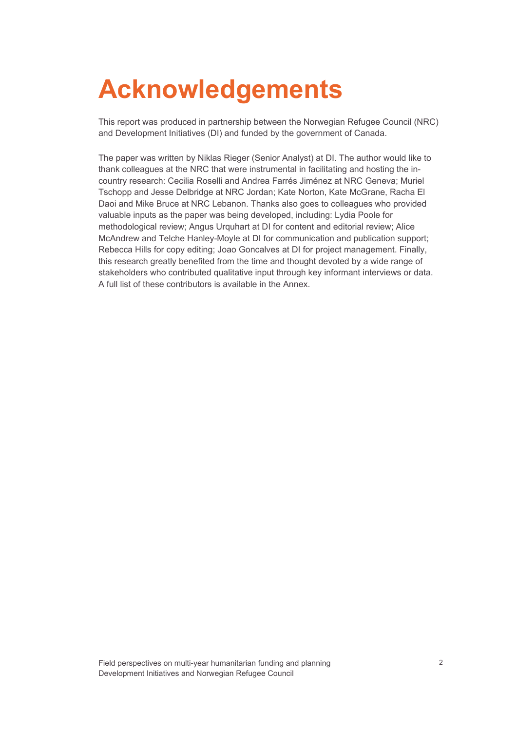# **Acknowledgements**

This report was produced in partnership between the Norwegian Refugee Council (NRC) and Development Initiatives (DI) and funded by the government of Canada.

The paper was written by Niklas Rieger (Senior Analyst) at DI. The author would like to thank colleagues at the NRC that were instrumental in facilitating and hosting the incountry research: Cecilia Roselli and Andrea Farrés Jiménez at NRC Geneva; Muriel Tschopp and Jesse Delbridge at NRC Jordan; Kate Norton, Kate McGrane, Racha El Daoi and Mike Bruce at NRC Lebanon. Thanks also goes to colleagues who provided valuable inputs as the paper was being developed, including: Lydia Poole for methodological review; Angus Urquhart at DI for content and editorial review; Alice McAndrew and Telche Hanley-Moyle at DI for communication and publication support; Rebecca Hills for copy editing; Joao Goncalves at DI for project management. Finally, this research greatly benefited from the time and thought devoted by a wide range of stakeholders who contributed qualitative input through key informant interviews or data. A full list of these contributors is available in the Annex.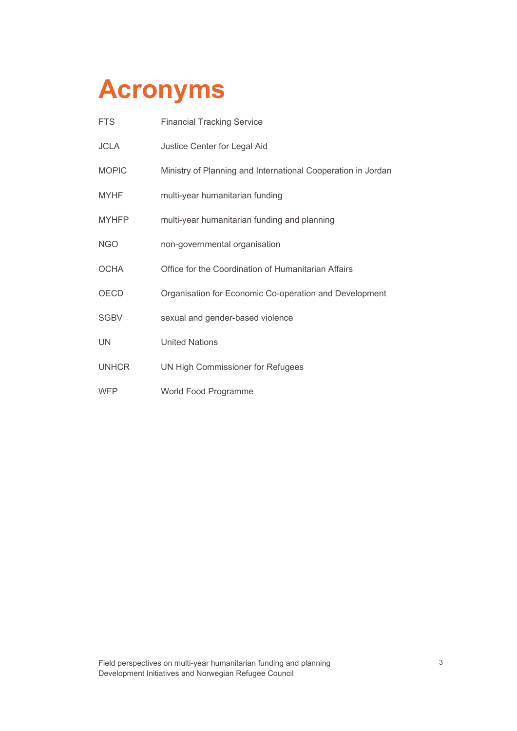## **Acronyms**

| <b>FTS</b>   | <b>Financial Tracking Service</b>                            |
|--------------|--------------------------------------------------------------|
| <b>JCLA</b>  | Justice Center for Legal Aid                                 |
| <b>MOPIC</b> | Ministry of Planning and International Cooperation in Jordan |
| <b>MYHF</b>  | multi-year humanitarian funding                              |
| <b>MYHFP</b> | multi-year humanitarian funding and planning                 |
| <b>NGO</b>   | non-governmental organisation                                |
| <b>OCHA</b>  | Office for the Coordination of Humanitarian Affairs          |
| <b>OECD</b>  | Organisation for Economic Co-operation and Development       |
| <b>SGBV</b>  | sexual and gender-based violence                             |
| UN           | <b>United Nations</b>                                        |
| <b>UNHCR</b> | UN High Commissioner for Refugees                            |
| <b>WFP</b>   | World Food Programme                                         |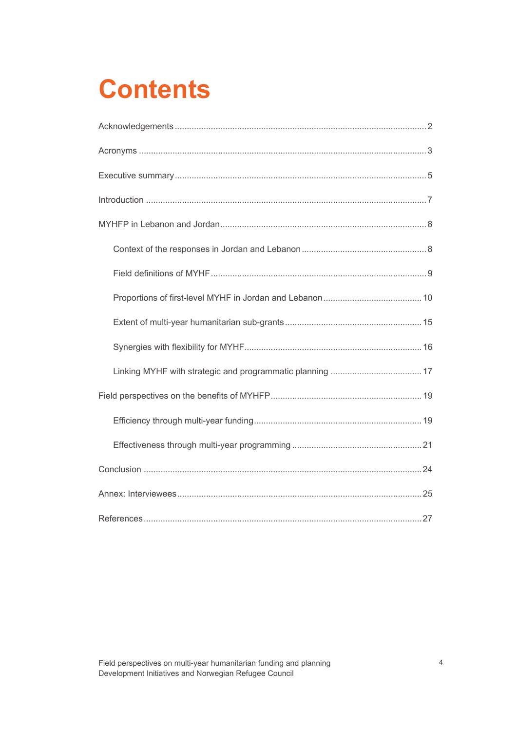## **Contents**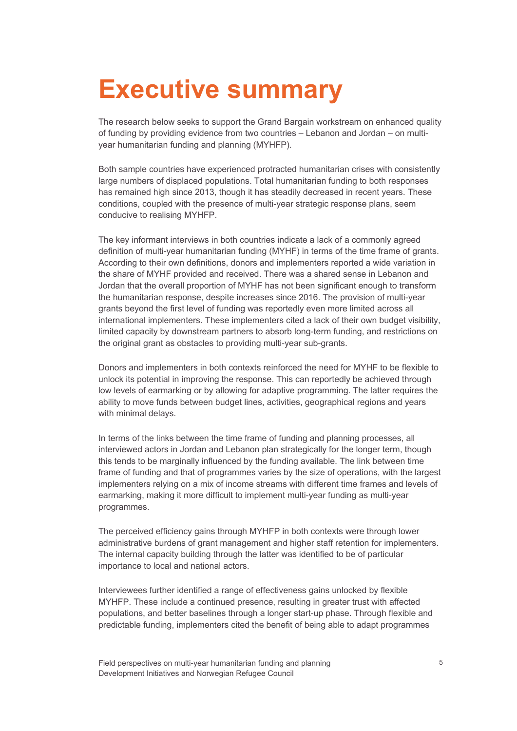## **Executive summary**

The research below seeks to support the Grand Bargain workstream on enhanced quality of funding by providing evidence from two countries – Lebanon and Jordan – on multiyear humanitarian funding and planning (MYHFP).

Both sample countries have experienced protracted humanitarian crises with consistently large numbers of displaced populations. Total humanitarian funding to both responses has remained high since 2013, though it has steadily decreased in recent years. These conditions, coupled with the presence of multi-year strategic response plans, seem conducive to realising MYHFP.

The key informant interviews in both countries indicate a lack of a commonly agreed definition of multi-year humanitarian funding (MYHF) in terms of the time frame of grants. According to their own definitions, donors and implementers reported a wide variation in the share of MYHF provided and received. There was a shared sense in Lebanon and Jordan that the overall proportion of MYHF has not been significant enough to transform the humanitarian response, despite increases since 2016. The provision of multi-year grants beyond the first level of funding was reportedly even more limited across all international implementers. These implementers cited a lack of their own budget visibility, limited capacity by downstream partners to absorb long-term funding, and restrictions on the original grant as obstacles to providing multi-year sub-grants.

Donors and implementers in both contexts reinforced the need for MYHF to be flexible to unlock its potential in improving the response. This can reportedly be achieved through low levels of earmarking or by allowing for adaptive programming. The latter requires the ability to move funds between budget lines, activities, geographical regions and years with minimal delays.

In terms of the links between the time frame of funding and planning processes, all interviewed actors in Jordan and Lebanon plan strategically for the longer term, though this tends to be marginally influenced by the funding available. The link between time frame of funding and that of programmes varies by the size of operations, with the largest implementers relying on a mix of income streams with different time frames and levels of earmarking, making it more difficult to implement multi-year funding as multi-year programmes.

The perceived efficiency gains through MYHFP in both contexts were through lower administrative burdens of grant management and higher staff retention for implementers. The internal capacity building through the latter was identified to be of particular importance to local and national actors.

Interviewees further identified a range of effectiveness gains unlocked by flexible MYHFP. These include a continued presence, resulting in greater trust with affected populations, and better baselines through a longer start-up phase. Through flexible and predictable funding, implementers cited the benefit of being able to adapt programmes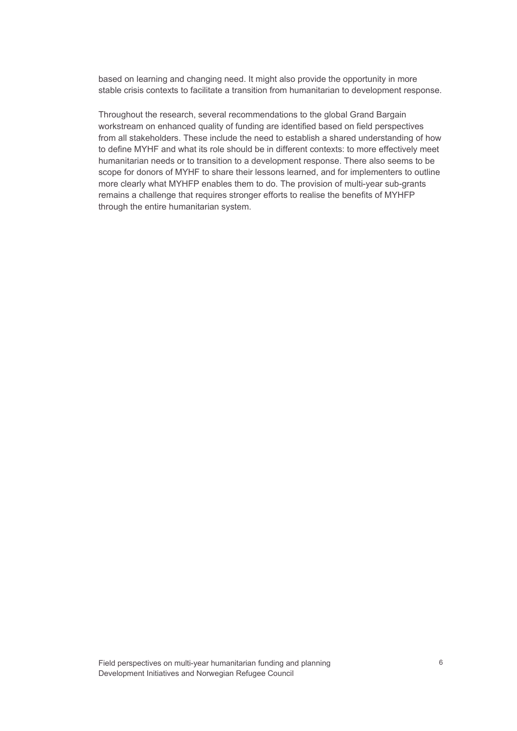based on learning and changing need. It might also provide the opportunity in more stable crisis contexts to facilitate a transition from humanitarian to development response.

Throughout the research, several recommendations to the global Grand Bargain workstream on enhanced quality of funding are identified based on field perspectives from all stakeholders. These include the need to establish a shared understanding of how to define MYHF and what its role should be in different contexts: to more effectively meet humanitarian needs or to transition to a development response. There also seems to be scope for donors of MYHF to share their lessons learned, and for implementers to outline more clearly what MYHFP enables them to do. The provision of multi-year sub-grants remains a challenge that requires stronger efforts to realise the benefits of MYHFP through the entire humanitarian system.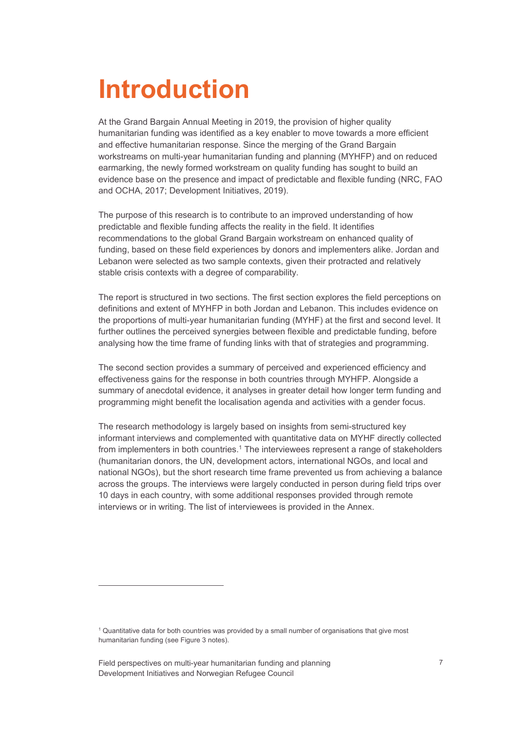## **Introduction**

At the Grand Bargain Annual Meeting in 2019, the provision of higher quality humanitarian funding was identified as a key enabler to move towards a more efficient and effective humanitarian response. Since the merging of the Grand Bargain workstreams on multi-year humanitarian funding and planning (MYHFP) and on reduced earmarking, the newly formed workstream on quality funding has sought to build an evidence base on the presence and impact of predictable and flexible funding (NRC, FAO and OCHA, 2017; Development Initiatives, 2019).

The purpose of this research is to contribute to an improved understanding of how predictable and flexible funding affects the reality in the field. It identifies recommendations to the global Grand Bargain workstream on enhanced quality of funding, based on these field experiences by donors and implementers alike. Jordan and Lebanon were selected as two sample contexts, given their protracted and relatively stable crisis contexts with a degree of comparability.

The report is structured in two sections. The first section explores the field perceptions on definitions and extent of MYHFP in both Jordan and Lebanon. This includes evidence on the proportions of multi-year humanitarian funding (MYHF) at the first and second level. It further outlines the perceived synergies between flexible and predictable funding, before analysing how the time frame of funding links with that of strategies and programming.

The second section provides a summary of perceived and experienced efficiency and effectiveness gains for the response in both countries through MYHFP. Alongside a summary of anecdotal evidence, it analyses in greater detail how longer term funding and programming might benefit the localisation agenda and activities with a gender focus.

The research methodology is largely based on insights from semi-structured key informant interviews and complemented with quantitative data on MYHF directly collected from implementers in both countries.<sup>1</sup> The interviewees represent a range of stakeholders (humanitarian donors, the UN, development actors, international NGOs, and local and national NGOs), but the short research time frame prevented us from achieving a balance across the groups. The interviews were largely conducted in person during field trips over 10 days in each country, with some additional responses provided through remote interviews or in writing. The list of interviewees is provided in the Annex.

<sup>1</sup> Quantitative data for both countries was provided by a small number of organisations that give most humanitarian funding (see Figure 3 notes).

Field perspectives on multi-year humanitarian funding and planning Development Initiatives and Norwegian Refugee Council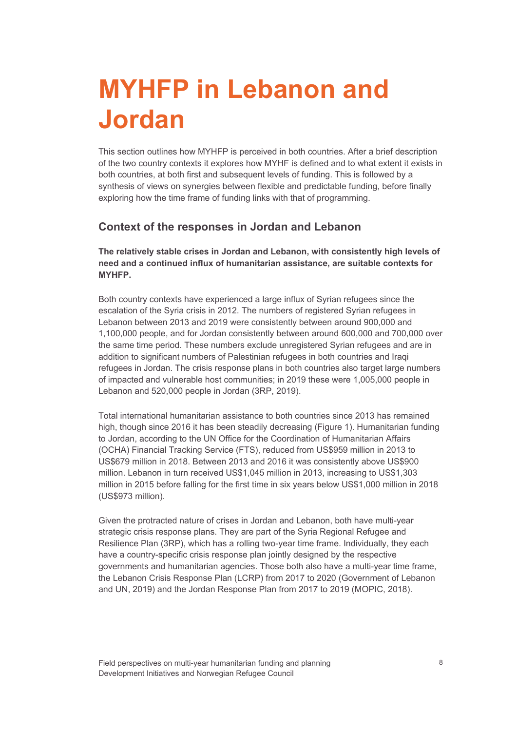## **MYHFP in Lebanon and Jordan**

This section outlines how MYHFP is perceived in both countries. After a brief description of the two country contexts it explores how MYHF is defined and to what extent it exists in both countries, at both first and subsequent levels of funding. This is followed by a synthesis of views on synergies between flexible and predictable funding, before finally exploring how the time frame of funding links with that of programming.

### **Context of the responses in Jordan and Lebanon**

**The relatively stable crises in Jordan and Lebanon, with consistently high levels of need and a continued influx of humanitarian assistance, are suitable contexts for MYHFP.** 

Both country contexts have experienced a large influx of Syrian refugees since the escalation of the Syria crisis in 2012. The numbers of registered Syrian refugees in Lebanon between 2013 and 2019 were consistently between around 900,000 and 1,100,000 people, and for Jordan consistently between around 600,000 and 700,000 over the same time period. These numbers exclude unregistered Syrian refugees and are in addition to significant numbers of Palestinian refugees in both countries and Iraqi refugees in Jordan. The crisis response plans in both countries also target large numbers of impacted and vulnerable host communities; in 2019 these were 1,005,000 people in Lebanon and 520,000 people in Jordan (3RP, 2019).

Total international humanitarian assistance to both countries since 2013 has remained high, though since 2016 it has been steadily decreasing (Figure 1). Humanitarian funding to Jordan, according to the UN Office for the Coordination of Humanitarian Affairs (OCHA) Financial Tracking Service (FTS), reduced from US\$959 million in 2013 to US\$679 million in 2018. Between 2013 and 2016 it was consistently above US\$900 million. Lebanon in turn received US\$1,045 million in 2013, increasing to US\$1,303 million in 2015 before falling for the first time in six years below US\$1,000 million in 2018 (US\$973 million).

Given the protracted nature of crises in Jordan and Lebanon, both have multi-year strategic crisis response plans. They are part of the Syria Regional Refugee and Resilience Plan (3RP), which has a rolling two-year time frame. Individually, they each have a country-specific crisis response plan jointly designed by the respective governments and humanitarian agencies. Those both also have a multi-year time frame, the Lebanon Crisis Response Plan (LCRP) from 2017 to 2020 (Government of Lebanon and UN, 2019) and the Jordan Response Plan from 2017 to 2019 (MOPIC, 2018).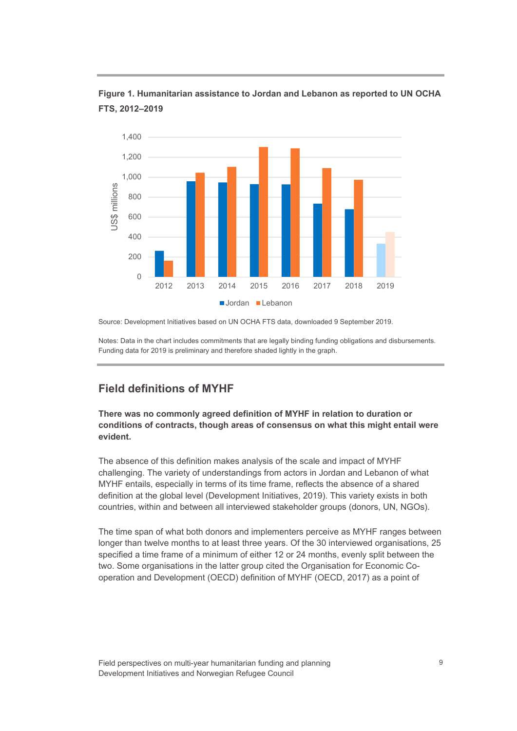

**Figure 1. Humanitarian assistance to Jordan and Lebanon as reported to UN OCHA FTS, 2012–2019** 

Source: Development Initiatives based on UN OCHA FTS data, downloaded 9 September 2019.

Notes: Data in the chart includes commitments that are legally binding funding obligations and disbursements. Funding data for 2019 is preliminary and therefore shaded lightly in the graph.

### **Field definitions of MYHF**

**There was no commonly agreed definition of MYHF in relation to duration or conditions of contracts, though areas of consensus on what this might entail were evident.**

The absence of this definition makes analysis of the scale and impact of MYHF challenging. The variety of understandings from actors in Jordan and Lebanon of what MYHF entails, especially in terms of its time frame, reflects the absence of a shared definition at the global level (Development Initiatives, 2019). This variety exists in both countries, within and between all interviewed stakeholder groups (donors, UN, NGOs).

The time span of what both donors and implementers perceive as MYHF ranges between longer than twelve months to at least three years. Of the 30 interviewed organisations, 25 specified a time frame of a minimum of either 12 or 24 months, evenly split between the two. Some organisations in the latter group cited the Organisation for Economic Cooperation and Development (OECD) definition of MYHF (OECD, 2017) as a point of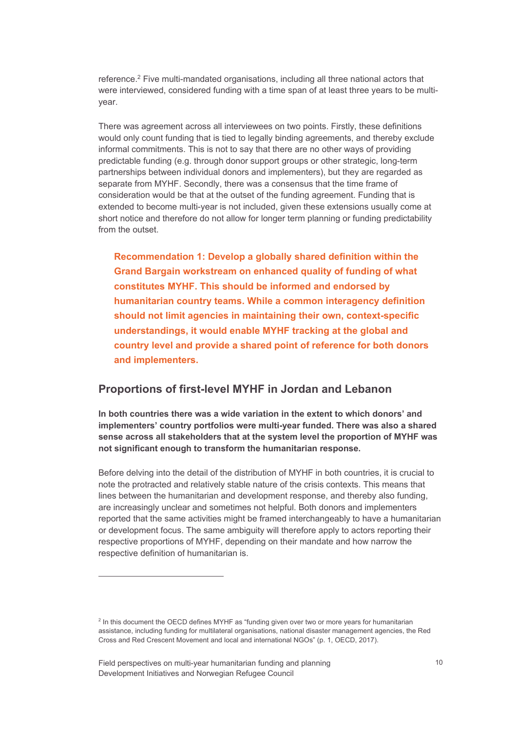reference.<sup>2</sup> Five multi-mandated organisations, including all three national actors that were interviewed, considered funding with a time span of at least three years to be multiyear.

There was agreement across all interviewees on two points. Firstly, these definitions would only count funding that is tied to legally binding agreements, and thereby exclude informal commitments. This is not to say that there are no other ways of providing predictable funding (e.g. through donor support groups or other strategic, long-term partnerships between individual donors and implementers), but they are regarded as separate from MYHF. Secondly, there was a consensus that the time frame of consideration would be that at the outset of the funding agreement. Funding that is extended to become multi-year is not included, given these extensions usually come at short notice and therefore do not allow for longer term planning or funding predictability from the outset.

**Recommendation 1: Develop a globally shared definition within the Grand Bargain workstream on enhanced quality of funding of what constitutes MYHF. This should be informed and endorsed by humanitarian country teams. While a common interagency definition should not limit agencies in maintaining their own, context-specific understandings, it would enable MYHF tracking at the global and country level and provide a shared point of reference for both donors and implementers.** 

### **Proportions of first-level MYHF in Jordan and Lebanon**

**In both countries there was a wide variation in the extent to which donors' and implementers' country portfolios were multi-year funded. There was also a shared sense across all stakeholders that at the system level the proportion of MYHF was not significant enough to transform the humanitarian response.** 

Before delving into the detail of the distribution of MYHF in both countries, it is crucial to note the protracted and relatively stable nature of the crisis contexts. This means that lines between the humanitarian and development response, and thereby also funding, are increasingly unclear and sometimes not helpful. Both donors and implementers reported that the same activities might be framed interchangeably to have a humanitarian or development focus. The same ambiguity will therefore apply to actors reporting their respective proportions of MYHF, depending on their mandate and how narrow the respective definition of humanitarian is.

<sup>&</sup>lt;sup>2</sup> In this document the OECD defines MYHF as "funding given over two or more years for humanitarian assistance, including funding for multilateral organisations, national disaster management agencies, the Red Cross and Red Crescent Movement and local and international NGOs" (p. 1, OECD, 2017).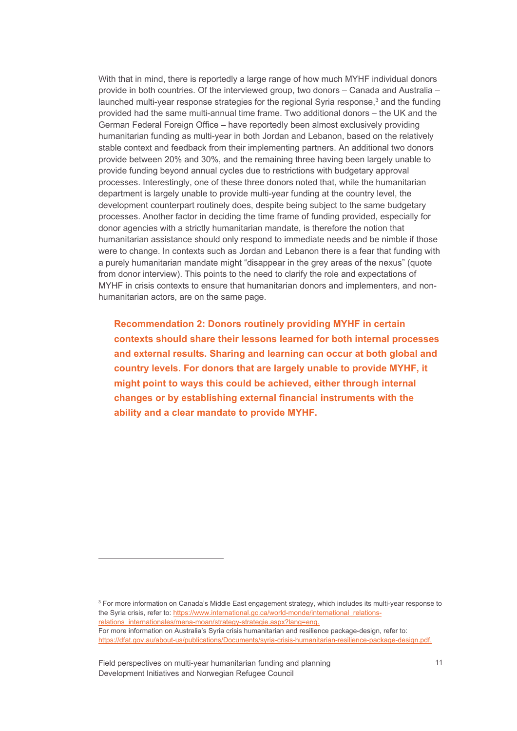With that in mind, there is reportedly a large range of how much MYHF individual donors provide in both countries. Of the interviewed group, two donors – Canada and Australia – launched multi-year response strategies for the regional Syria response,<sup>3</sup> and the funding provided had the same multi-annual time frame. Two additional donors – the UK and the German Federal Foreign Office – have reportedly been almost exclusively providing humanitarian funding as multi-year in both Jordan and Lebanon, based on the relatively stable context and feedback from their implementing partners. An additional two donors provide between 20% and 30%, and the remaining three having been largely unable to provide funding beyond annual cycles due to restrictions with budgetary approval processes. Interestingly, one of these three donors noted that, while the humanitarian department is largely unable to provide multi-year funding at the country level, the development counterpart routinely does, despite being subject to the same budgetary processes. Another factor in deciding the time frame of funding provided, especially for donor agencies with a strictly humanitarian mandate, is therefore the notion that humanitarian assistance should only respond to immediate needs and be nimble if those were to change. In contexts such as Jordan and Lebanon there is a fear that funding with a purely humanitarian mandate might "disappear in the grey areas of the nexus" (quote from donor interview). This points to the need to clarify the role and expectations of MYHF in crisis contexts to ensure that humanitarian donors and implementers, and nonhumanitarian actors, are on the same page.

**Recommendation 2: Donors routinely providing MYHF in certain contexts should share their lessons learned for both internal processes and external results. Sharing and learning can occur at both global and country levels. For donors that are largely unable to provide MYHF, it might point to ways this could be achieved, either through internal changes or by establishing external financial instruments with the ability and a clear mandate to provide MYHF.** 

https://dfat.gov.au/about-us/publications/Documents/syria-crisis-humanitarian-resilience-package-design.pdf.

Field perspectives on multi-year humanitarian funding and planning Development Initiatives and Norwegian Refugee Council

 $^3$  For more information on Canada's Middle East engagement strategy, which includes its multi-year response to the Syria crisis, refer to: https://www.international.gc.ca/world-monde/international\_relationsrelations\_internationales/mena-moan/strategy-strategie.aspx?lang=eng. For more information on Australia's Syria crisis humanitarian and resilience package-design, refer to: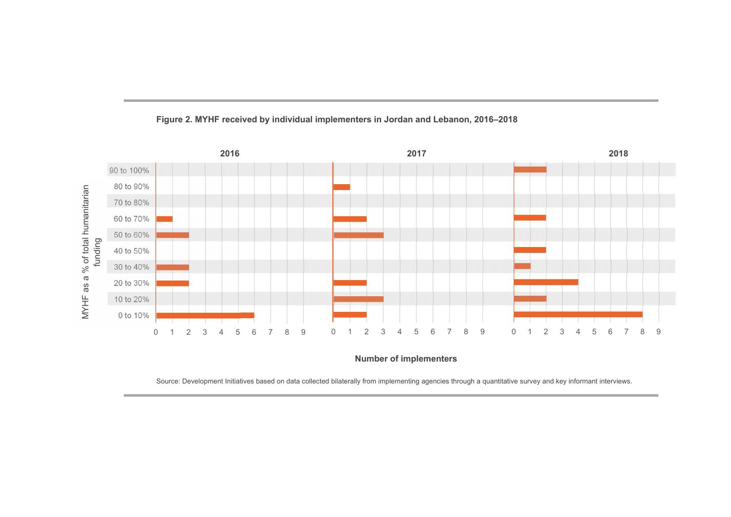

### **Figure 2. MYHF received by individual implementers in Jordan and Lebanon, 2016–2018**

**Number of implementers** 

Source: Development Initiatives based on data collected bilaterally from implementing agencies through a quantitative survey and key informant interviews.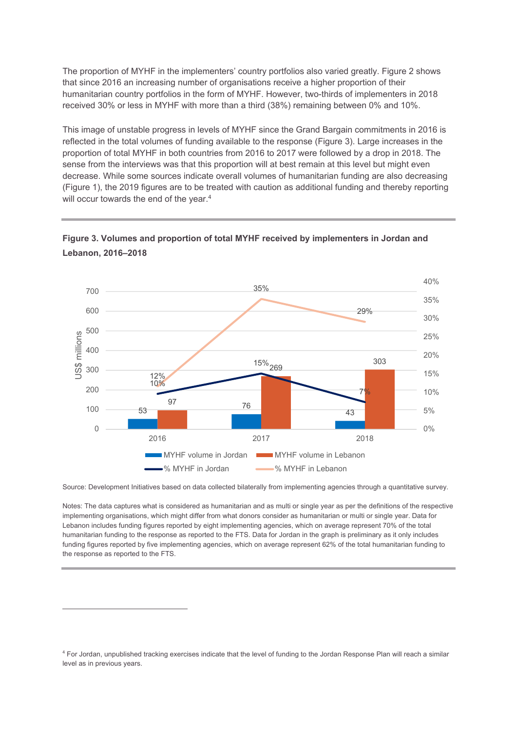The proportion of MYHF in the implementers' country portfolios also varied greatly. Figure 2 shows that since 2016 an increasing number of organisations receive a higher proportion of their humanitarian country portfolios in the form of MYHF. However, two-thirds of implementers in 2018 received 30% or less in MYHF with more than a third (38%) remaining between 0% and 10%.

This image of unstable progress in levels of MYHF since the Grand Bargain commitments in 2016 is reflected in the total volumes of funding available to the response (Figure 3). Large increases in the proportion of total MYHF in both countries from 2016 to 2017 were followed by a drop in 2018. The sense from the interviews was that this proportion will at best remain at this level but might even decrease. While some sources indicate overall volumes of humanitarian funding are also decreasing (Figure 1), the 2019 figures are to be treated with caution as additional funding and thereby reporting will occur towards the end of the year.<sup>4</sup>



### **Figure 3. Volumes and proportion of total MYHF received by implementers in Jordan and Lebanon, 2016–2018**

Source: Development Initiatives based on data collected bilaterally from implementing agencies through a quantitative survey.

Notes: The data captures what is considered as humanitarian and as multi or single year as per the definitions of the respective implementing organisations, which might differ from what donors consider as humanitarian or multi or single year. Data for Lebanon includes funding figures reported by eight implementing agencies, which on average represent 70% of the total humanitarian funding to the response as reported to the FTS. Data for Jordan in the graph is preliminary as it only includes funding figures reported by five implementing agencies, which on average represent 62% of the total humanitarian funding to the response as reported to the FTS.

<sup>4</sup> For Jordan, unpublished tracking exercises indicate that the level of funding to the Jordan Response Plan will reach a similar level as in previous years.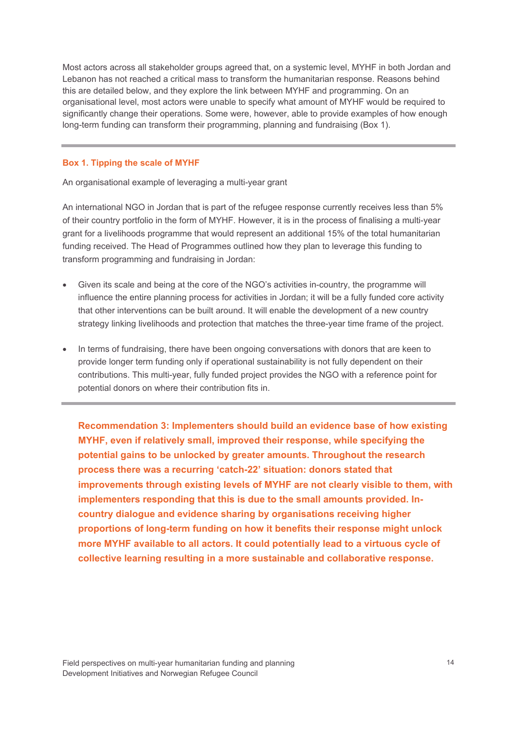Most actors across all stakeholder groups agreed that, on a systemic level, MYHF in both Jordan and Lebanon has not reached a critical mass to transform the humanitarian response. Reasons behind this are detailed below, and they explore the link between MYHF and programming. On an organisational level, most actors were unable to specify what amount of MYHF would be required to significantly change their operations. Some were, however, able to provide examples of how enough long-term funding can transform their programming, planning and fundraising (Box 1).

#### **Box 1. Tipping the scale of MYHF**

An organisational example of leveraging a multi-year grant

An international NGO in Jordan that is part of the refugee response currently receives less than 5% of their country portfolio in the form of MYHF. However, it is in the process of finalising a multi-year grant for a livelihoods programme that would represent an additional 15% of the total humanitarian funding received. The Head of Programmes outlined how they plan to leverage this funding to transform programming and fundraising in Jordan:

- Given its scale and being at the core of the NGO's activities in-country, the programme will influence the entire planning process for activities in Jordan; it will be a fully funded core activity that other interventions can be built around. It will enable the development of a new country strategy linking livelihoods and protection that matches the three-year time frame of the project.
- In terms of fundraising, there have been ongoing conversations with donors that are keen to provide longer term funding only if operational sustainability is not fully dependent on their contributions. This multi-year, fully funded project provides the NGO with a reference point for potential donors on where their contribution fits in.

**Recommendation 3: Implementers should build an evidence base of how existing MYHF, even if relatively small, improved their response, while specifying the potential gains to be unlocked by greater amounts. Throughout the research process there was a recurring 'catch-22' situation: donors stated that improvements through existing levels of MYHF are not clearly visible to them, with implementers responding that this is due to the small amounts provided. Incountry dialogue and evidence sharing by organisations receiving higher proportions of long-term funding on how it benefits their response might unlock more MYHF available to all actors. It could potentially lead to a virtuous cycle of collective learning resulting in a more sustainable and collaborative response.**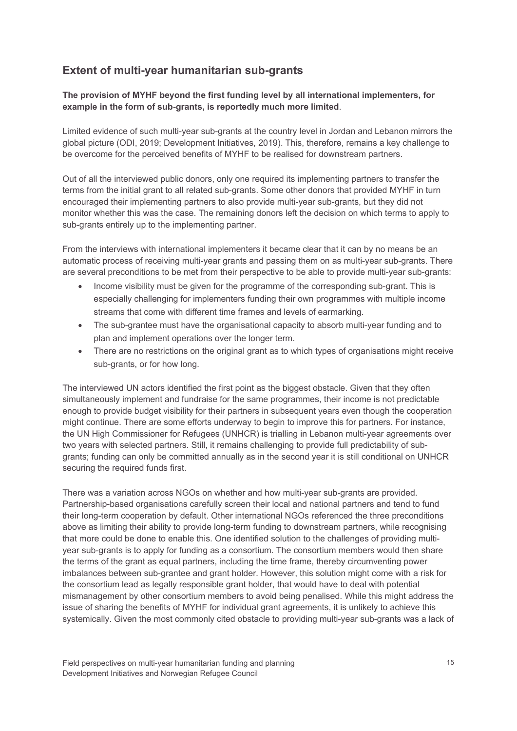### **Extent of multi-year humanitarian sub-grants**

#### **The provision of MYHF beyond the first funding level by all international implementers, for example in the form of sub-grants, is reportedly much more limited**.

Limited evidence of such multi-year sub-grants at the country level in Jordan and Lebanon mirrors the global picture (ODI, 2019; Development Initiatives, 2019). This, therefore, remains a key challenge to be overcome for the perceived benefits of MYHF to be realised for downstream partners.

Out of all the interviewed public donors, only one required its implementing partners to transfer the terms from the initial grant to all related sub-grants. Some other donors that provided MYHF in turn encouraged their implementing partners to also provide multi-year sub-grants, but they did not monitor whether this was the case. The remaining donors left the decision on which terms to apply to sub-grants entirely up to the implementing partner.

From the interviews with international implementers it became clear that it can by no means be an automatic process of receiving multi-year grants and passing them on as multi-year sub-grants. There are several preconditions to be met from their perspective to be able to provide multi-year sub-grants:

- Income visibility must be given for the programme of the corresponding sub-grant. This is especially challenging for implementers funding their own programmes with multiple income streams that come with different time frames and levels of earmarking.
- The sub-grantee must have the organisational capacity to absorb multi-year funding and to plan and implement operations over the longer term.
- There are no restrictions on the original grant as to which types of organisations might receive sub-grants, or for how long.

The interviewed UN actors identified the first point as the biggest obstacle. Given that they often simultaneously implement and fundraise for the same programmes, their income is not predictable enough to provide budget visibility for their partners in subsequent years even though the cooperation might continue. There are some efforts underway to begin to improve this for partners. For instance, the UN High Commissioner for Refugees (UNHCR) is trialling in Lebanon multi-year agreements over two years with selected partners. Still, it remains challenging to provide full predictability of subgrants; funding can only be committed annually as in the second year it is still conditional on UNHCR securing the required funds first.

There was a variation across NGOs on whether and how multi-year sub-grants are provided. Partnership-based organisations carefully screen their local and national partners and tend to fund their long-term cooperation by default. Other international NGOs referenced the three preconditions above as limiting their ability to provide long-term funding to downstream partners, while recognising that more could be done to enable this. One identified solution to the challenges of providing multiyear sub-grants is to apply for funding as a consortium. The consortium members would then share the terms of the grant as equal partners, including the time frame, thereby circumventing power imbalances between sub-grantee and grant holder. However, this solution might come with a risk for the consortium lead as legally responsible grant holder, that would have to deal with potential mismanagement by other consortium members to avoid being penalised. While this might address the issue of sharing the benefits of MYHF for individual grant agreements, it is unlikely to achieve this systemically. Given the most commonly cited obstacle to providing multi-year sub-grants was a lack of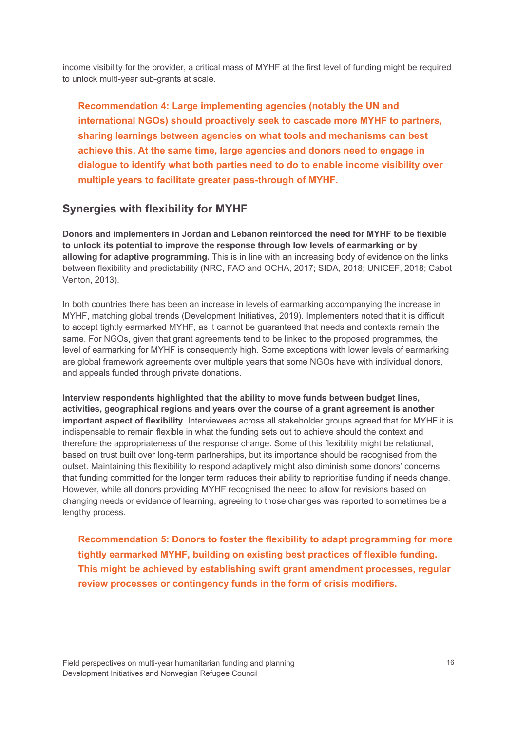income visibility for the provider, a critical mass of MYHF at the first level of funding might be required to unlock multi-year sub-grants at scale.

**Recommendation 4: Large implementing agencies (notably the UN and international NGOs) should proactively seek to cascade more MYHF to partners, sharing learnings between agencies on what tools and mechanisms can best achieve this. At the same time, large agencies and donors need to engage in dialogue to identify what both parties need to do to enable income visibility over multiple years to facilitate greater pass-through of MYHF.** 

### **Synergies with flexibility for MYHF**

**Donors and implementers in Jordan and Lebanon reinforced the need for MYHF to be flexible to unlock its potential to improve the response through low levels of earmarking or by allowing for adaptive programming.** This is in line with an increasing body of evidence on the links between flexibility and predictability (NRC, FAO and OCHA, 2017; SIDA, 2018; UNICEF, 2018; Cabot Venton, 2013).

In both countries there has been an increase in levels of earmarking accompanying the increase in MYHF, matching global trends (Development Initiatives, 2019). Implementers noted that it is difficult to accept tightly earmarked MYHF, as it cannot be guaranteed that needs and contexts remain the same. For NGOs, given that grant agreements tend to be linked to the proposed programmes, the level of earmarking for MYHF is consequently high. Some exceptions with lower levels of earmarking are global framework agreements over multiple years that some NGOs have with individual donors, and appeals funded through private donations.

**Interview respondents highlighted that the ability to move funds between budget lines, activities, geographical regions and years over the course of a grant agreement is another important aspect of flexibility**. Interviewees across all stakeholder groups agreed that for MYHF it is indispensable to remain flexible in what the funding sets out to achieve should the context and therefore the appropriateness of the response change. Some of this flexibility might be relational, based on trust built over long-term partnerships, but its importance should be recognised from the outset. Maintaining this flexibility to respond adaptively might also diminish some donors' concerns that funding committed for the longer term reduces their ability to reprioritise funding if needs change. However, while all donors providing MYHF recognised the need to allow for revisions based on changing needs or evidence of learning, agreeing to those changes was reported to sometimes be a lengthy process.

**Recommendation 5: Donors to foster the flexibility to adapt programming for more tightly earmarked MYHF, building on existing best practices of flexible funding. This might be achieved by establishing swift grant amendment processes, regular review processes or contingency funds in the form of crisis modifiers.**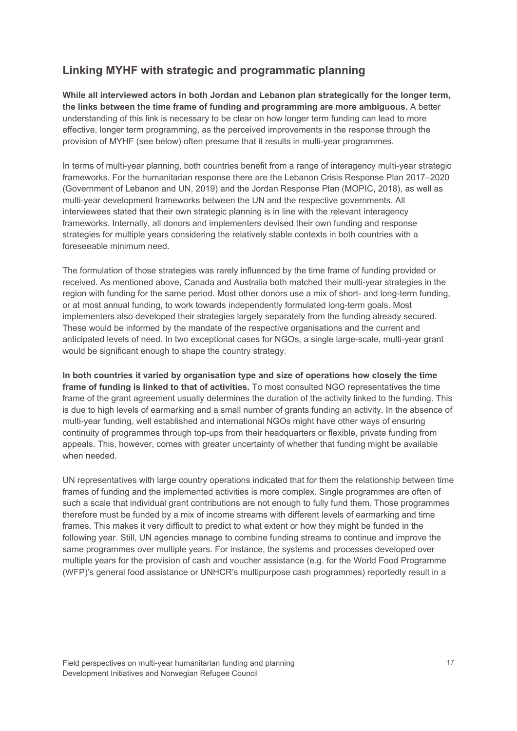### **Linking MYHF with strategic and programmatic planning**

**While all interviewed actors in both Jordan and Lebanon plan strategically for the longer term, the links between the time frame of funding and programming are more ambiguous.** A better understanding of this link is necessary to be clear on how longer term funding can lead to more effective, longer term programming, as the perceived improvements in the response through the provision of MYHF (see below) often presume that it results in multi-year programmes.

In terms of multi-year planning, both countries benefit from a range of interagency multi-year strategic frameworks. For the humanitarian response there are the Lebanon Crisis Response Plan 2017–2020 (Government of Lebanon and UN, 2019) and the Jordan Response Plan (MOPIC, 2018), as well as multi-year development frameworks between the UN and the respective governments. All interviewees stated that their own strategic planning is in line with the relevant interagency frameworks. Internally, all donors and implementers devised their own funding and response strategies for multiple years considering the relatively stable contexts in both countries with a foreseeable minimum need.

The formulation of those strategies was rarely influenced by the time frame of funding provided or received. As mentioned above, Canada and Australia both matched their multi-year strategies in the region with funding for the same period. Most other donors use a mix of short- and long-term funding, or at most annual funding, to work towards independently formulated long-term goals. Most implementers also developed their strategies largely separately from the funding already secured. These would be informed by the mandate of the respective organisations and the current and anticipated levels of need. In two exceptional cases for NGOs, a single large-scale, multi-year grant would be significant enough to shape the country strategy.

**In both countries it varied by organisation type and size of operations how closely the time frame of funding is linked to that of activities.** To most consulted NGO representatives the time frame of the grant agreement usually determines the duration of the activity linked to the funding. This is due to high levels of earmarking and a small number of grants funding an activity. In the absence of multi-year funding, well established and international NGOs might have other ways of ensuring continuity of programmes through top-ups from their headquarters or flexible, private funding from appeals. This, however, comes with greater uncertainty of whether that funding might be available when needed.

UN representatives with large country operations indicated that for them the relationship between time frames of funding and the implemented activities is more complex. Single programmes are often of such a scale that individual grant contributions are not enough to fully fund them. Those programmes therefore must be funded by a mix of income streams with different levels of earmarking and time frames. This makes it very difficult to predict to what extent or how they might be funded in the following year. Still, UN agencies manage to combine funding streams to continue and improve the same programmes over multiple years. For instance, the systems and processes developed over multiple years for the provision of cash and voucher assistance (e.g. for the World Food Programme (WFP)'s general food assistance or UNHCR's multipurpose cash programmes) reportedly result in a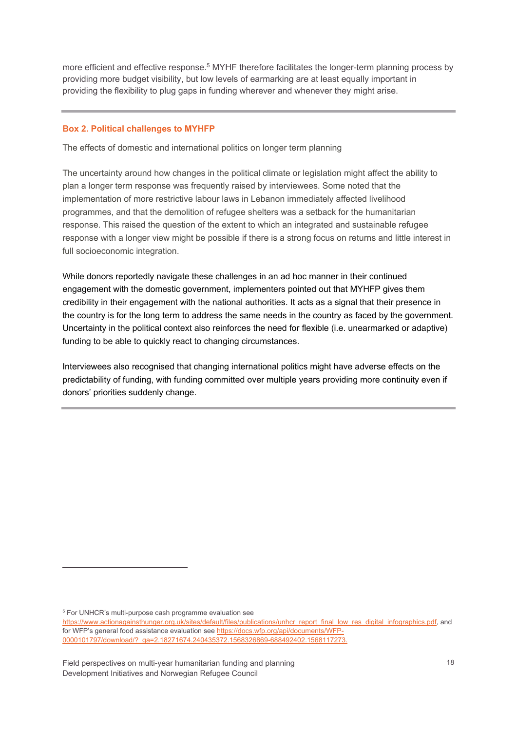more efficient and effective response.<sup>5</sup> MYHF therefore facilitates the longer-term planning process by providing more budget visibility, but low levels of earmarking are at least equally important in providing the flexibility to plug gaps in funding wherever and whenever they might arise.

#### **Box 2. Political challenges to MYHFP**

The effects of domestic and international politics on longer term planning

The uncertainty around how changes in the political climate or legislation might affect the ability to plan a longer term response was frequently raised by interviewees. Some noted that the implementation of more restrictive labour laws in Lebanon immediately affected livelihood programmes, and that the demolition of refugee shelters was a setback for the humanitarian response. This raised the question of the extent to which an integrated and sustainable refugee response with a longer view might be possible if there is a strong focus on returns and little interest in full socioeconomic integration.

While donors reportedly navigate these challenges in an ad hoc manner in their continued engagement with the domestic government, implementers pointed out that MYHFP gives them credibility in their engagement with the national authorities. It acts as a signal that their presence in the country is for the long term to address the same needs in the country as faced by the government. Uncertainty in the political context also reinforces the need for flexible (i.e. unearmarked or adaptive) funding to be able to quickly react to changing circumstances.

Interviewees also recognised that changing international politics might have adverse effects on the predictability of funding, with funding committed over multiple years providing more continuity even if donors' priorities suddenly change.

5 For UNHCR's multi-purpose cash programme evaluation see

Field perspectives on multi-year humanitarian funding and planning Development Initiatives and Norwegian Refugee Council

https://www.actionagainsthunger.org.uk/sites/default/files/publications/unhcr\_report\_final\_low\_res\_digital\_infographics.pdf, and for WFP's general food assistance evaluation see https://docs.wfp.org/api/documents/WFP-0000101797/download/?\_ga=2.18271674.240435372.1568326869-688492402.1568117273.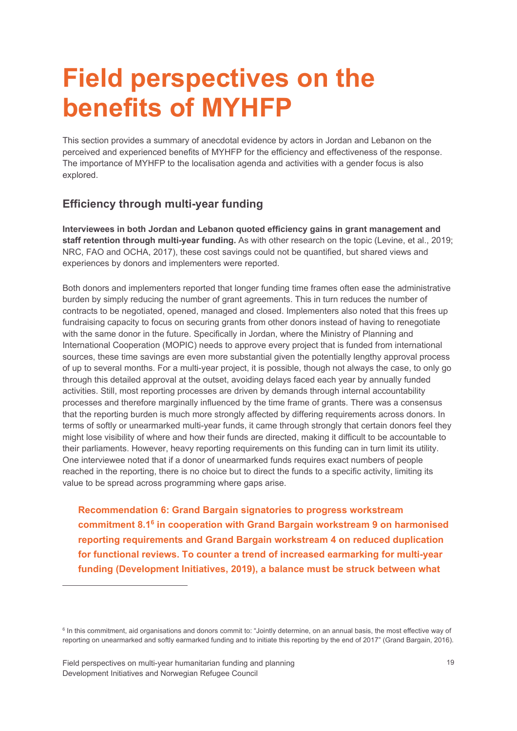## **Field perspectives on the benefits of MYHFP**

This section provides a summary of anecdotal evidence by actors in Jordan and Lebanon on the perceived and experienced benefits of MYHFP for the efficiency and effectiveness of the response. The importance of MYHFP to the localisation agenda and activities with a gender focus is also explored.

### **Efficiency through multi-year funding**

**Interviewees in both Jordan and Lebanon quoted efficiency gains in grant management and staff retention through multi-year funding.** As with other research on the topic (Levine, et al., 2019; NRC, FAO and OCHA, 2017), these cost savings could not be quantified, but shared views and experiences by donors and implementers were reported.

Both donors and implementers reported that longer funding time frames often ease the administrative burden by simply reducing the number of grant agreements. This in turn reduces the number of contracts to be negotiated, opened, managed and closed. Implementers also noted that this frees up fundraising capacity to focus on securing grants from other donors instead of having to renegotiate with the same donor in the future. Specifically in Jordan, where the Ministry of Planning and International Cooperation (MOPIC) needs to approve every project that is funded from international sources, these time savings are even more substantial given the potentially lengthy approval process of up to several months. For a multi-year project, it is possible, though not always the case, to only go through this detailed approval at the outset, avoiding delays faced each year by annually funded activities. Still, most reporting processes are driven by demands through internal accountability processes and therefore marginally influenced by the time frame of grants. There was a consensus that the reporting burden is much more strongly affected by differing requirements across donors. In terms of softly or unearmarked multi-year funds, it came through strongly that certain donors feel they might lose visibility of where and how their funds are directed, making it difficult to be accountable to their parliaments. However, heavy reporting requirements on this funding can in turn limit its utility. One interviewee noted that if a donor of unearmarked funds requires exact numbers of people reached in the reporting, there is no choice but to direct the funds to a specific activity, limiting its value to be spread across programming where gaps arise.

**Recommendation 6: Grand Bargain signatories to progress workstream commitment 8.16 in cooperation with Grand Bargain workstream 9 on harmonised reporting requirements and Grand Bargain workstream 4 on reduced duplication for functional reviews. To counter a trend of increased earmarking for multi-year funding (Development Initiatives, 2019), a balance must be struck between what** 

<sup>&</sup>lt;sup>6</sup> In this commitment, aid organisations and donors commit to: "Jointly determine, on an annual basis, the most effective way of reporting on unearmarked and softly earmarked funding and to initiate this reporting by the end of 2017" (Grand Bargain, 2016).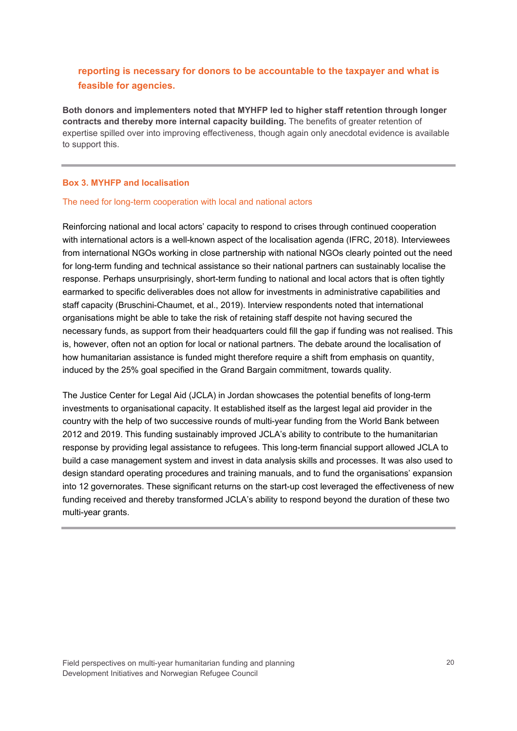### **reporting is necessary for donors to be accountable to the taxpayer and what is feasible for agencies.**

**Both donors and implementers noted that MYHFP led to higher staff retention through longer contracts and thereby more internal capacity building.** The benefits of greater retention of expertise spilled over into improving effectiveness, though again only anecdotal evidence is available to support this.

#### **Box 3. MYHFP and localisation**

#### The need for long-term cooperation with local and national actors

Reinforcing national and local actors' capacity to respond to crises through continued cooperation with international actors is a well-known aspect of the localisation agenda (IFRC, 2018). Interviewees from international NGOs working in close partnership with national NGOs clearly pointed out the need for long-term funding and technical assistance so their national partners can sustainably localise the response. Perhaps unsurprisingly, short-term funding to national and local actors that is often tightly earmarked to specific deliverables does not allow for investments in administrative capabilities and staff capacity (Bruschini-Chaumet, et al., 2019). Interview respondents noted that international organisations might be able to take the risk of retaining staff despite not having secured the necessary funds, as support from their headquarters could fill the gap if funding was not realised. This is, however, often not an option for local or national partners. The debate around the localisation of how humanitarian assistance is funded might therefore require a shift from emphasis on quantity, induced by the 25% goal specified in the Grand Bargain commitment, towards quality.

The Justice Center for Legal Aid (JCLA) in Jordan showcases the potential benefits of long-term investments to organisational capacity. It established itself as the largest legal aid provider in the country with the help of two successive rounds of multi-year funding from the World Bank between 2012 and 2019. This funding sustainably improved JCLA's ability to contribute to the humanitarian response by providing legal assistance to refugees. This long-term financial support allowed JCLA to build a case management system and invest in data analysis skills and processes. It was also used to design standard operating procedures and training manuals, and to fund the organisations' expansion into 12 governorates. These significant returns on the start-up cost leveraged the effectiveness of new funding received and thereby transformed JCLA's ability to respond beyond the duration of these two multi-year grants.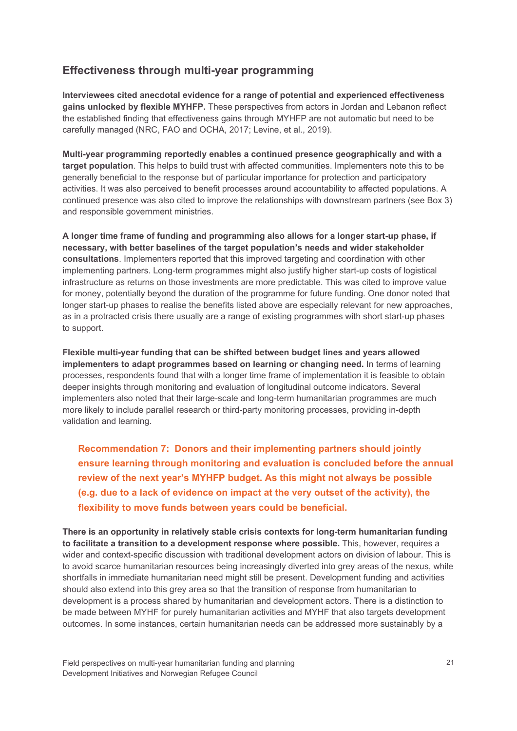### **Effectiveness through multi-year programming**

**Interviewees cited anecdotal evidence for a range of potential and experienced effectiveness gains unlocked by flexible MYHFP.** These perspectives from actors in Jordan and Lebanon reflect the established finding that effectiveness gains through MYHFP are not automatic but need to be carefully managed (NRC, FAO and OCHA, 2017; Levine, et al., 2019).

**Multi-year programming reportedly enables a continued presence geographically and with a target population**. This helps to build trust with affected communities. Implementers note this to be generally beneficial to the response but of particular importance for protection and participatory activities. It was also perceived to benefit processes around accountability to affected populations. A continued presence was also cited to improve the relationships with downstream partners (see Box 3) and responsible government ministries.

**A longer time frame of funding and programming also allows for a longer start-up phase, if necessary, with better baselines of the target population's needs and wider stakeholder consultations**. Implementers reported that this improved targeting and coordination with other implementing partners. Long-term programmes might also justify higher start-up costs of logistical infrastructure as returns on those investments are more predictable. This was cited to improve value for money, potentially beyond the duration of the programme for future funding. One donor noted that longer start-up phases to realise the benefits listed above are especially relevant for new approaches, as in a protracted crisis there usually are a range of existing programmes with short start-up phases to support.

**Flexible multi-year funding that can be shifted between budget lines and years allowed implementers to adapt programmes based on learning or changing need.** In terms of learning processes, respondents found that with a longer time frame of implementation it is feasible to obtain deeper insights through monitoring and evaluation of longitudinal outcome indicators. Several implementers also noted that their large-scale and long-term humanitarian programmes are much more likely to include parallel research or third-party monitoring processes, providing in-depth validation and learning.

**Recommendation 7: Donors and their implementing partners should jointly ensure learning through monitoring and evaluation is concluded before the annual review of the next year's MYHFP budget. As this might not always be possible (e.g. due to a lack of evidence on impact at the very outset of the activity), the flexibility to move funds between years could be beneficial.** 

**There is an opportunity in relatively stable crisis contexts for long-term humanitarian funding to facilitate a transition to a development response where possible.** This, however, requires a wider and context-specific discussion with traditional development actors on division of labour. This is to avoid scarce humanitarian resources being increasingly diverted into grey areas of the nexus, while shortfalls in immediate humanitarian need might still be present. Development funding and activities should also extend into this grey area so that the transition of response from humanitarian to development is a process shared by humanitarian and development actors. There is a distinction to be made between MYHF for purely humanitarian activities and MYHF that also targets development outcomes. In some instances, certain humanitarian needs can be addressed more sustainably by a

Field perspectives on multi-year humanitarian funding and planning Development Initiatives and Norwegian Refugee Council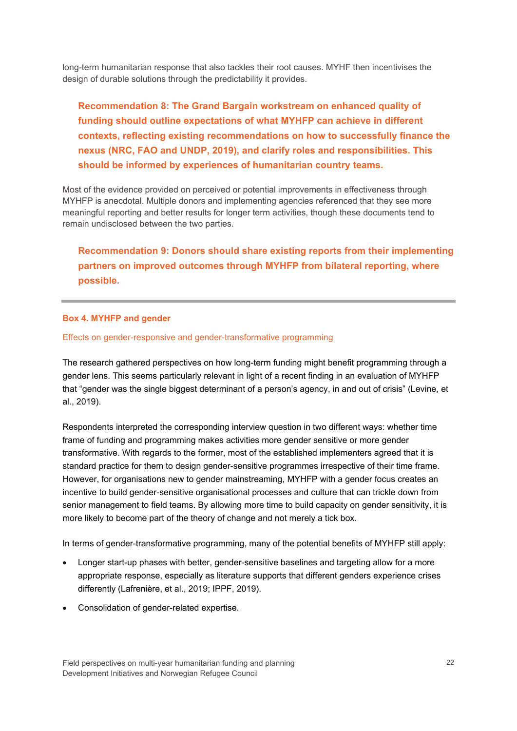long-term humanitarian response that also tackles their root causes. MYHF then incentivises the design of durable solutions through the predictability it provides.

**Recommendation 8: The Grand Bargain workstream on enhanced quality of funding should outline expectations of what MYHFP can achieve in different contexts, reflecting existing recommendations on how to successfully finance the nexus (NRC, FAO and UNDP, 2019), and clarify roles and responsibilities. This should be informed by experiences of humanitarian country teams.** 

Most of the evidence provided on perceived or potential improvements in effectiveness through MYHFP is anecdotal. Multiple donors and implementing agencies referenced that they see more meaningful reporting and better results for longer term activities, though these documents tend to remain undisclosed between the two parties.

**Recommendation 9: Donors should share existing reports from their implementing partners on improved outcomes through MYHFP from bilateral reporting, where possible.** 

#### **Box 4. MYHFP and gender**

#### Effects on gender-responsive and gender-transformative programming

The research gathered perspectives on how long-term funding might benefit programming through a gender lens. This seems particularly relevant in light of a recent finding in an evaluation of MYHFP that "gender was the single biggest determinant of a person's agency, in and out of crisis" (Levine, et al., 2019).

Respondents interpreted the corresponding interview question in two different ways: whether time frame of funding and programming makes activities more gender sensitive or more gender transformative. With regards to the former, most of the established implementers agreed that it is standard practice for them to design gender-sensitive programmes irrespective of their time frame. However, for organisations new to gender mainstreaming, MYHFP with a gender focus creates an incentive to build gender-sensitive organisational processes and culture that can trickle down from senior management to field teams. By allowing more time to build capacity on gender sensitivity, it is more likely to become part of the theory of change and not merely a tick box.

In terms of gender-transformative programming, many of the potential benefits of MYHFP still apply:

- Longer start-up phases with better, gender-sensitive baselines and targeting allow for a more appropriate response, especially as literature supports that different genders experience crises differently (Lafrenière, et al., 2019; IPPF, 2019).
- Consolidation of gender-related expertise.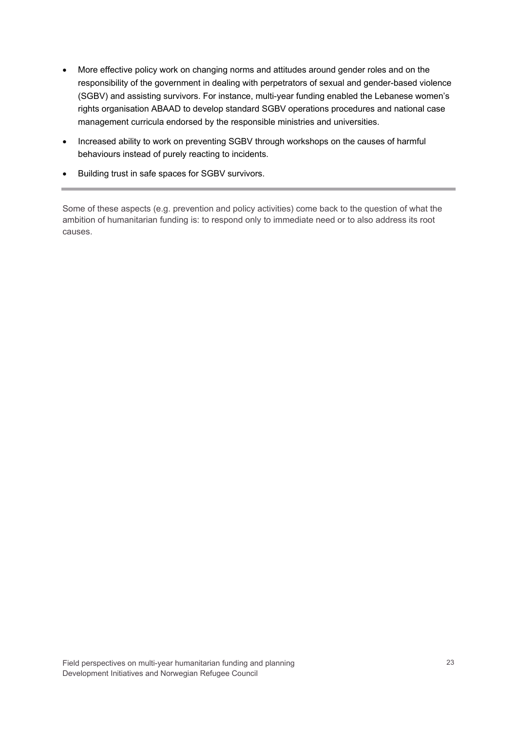- More effective policy work on changing norms and attitudes around gender roles and on the responsibility of the government in dealing with perpetrators of sexual and gender-based violence (SGBV) and assisting survivors. For instance, multi-year funding enabled the Lebanese women's rights organisation ABAAD to develop standard SGBV operations procedures and national case management curricula endorsed by the responsible ministries and universities.
- Increased ability to work on preventing SGBV through workshops on the causes of harmful behaviours instead of purely reacting to incidents.
- Building trust in safe spaces for SGBV survivors.

Some of these aspects (e.g. prevention and policy activities) come back to the question of what the ambition of humanitarian funding is: to respond only to immediate need or to also address its root causes.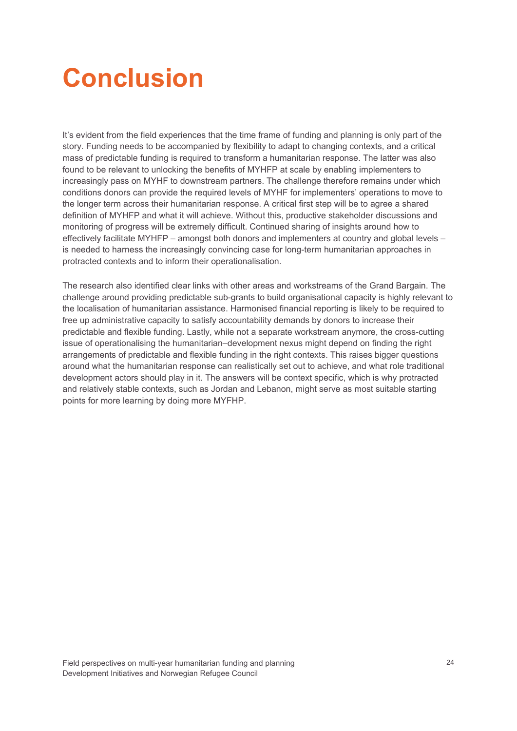# **Conclusion**

It's evident from the field experiences that the time frame of funding and planning is only part of the story. Funding needs to be accompanied by flexibility to adapt to changing contexts, and a critical mass of predictable funding is required to transform a humanitarian response. The latter was also found to be relevant to unlocking the benefits of MYHFP at scale by enabling implementers to increasingly pass on MYHF to downstream partners. The challenge therefore remains under which conditions donors can provide the required levels of MYHF for implementers' operations to move to the longer term across their humanitarian response. A critical first step will be to agree a shared definition of MYHFP and what it will achieve. Without this, productive stakeholder discussions and monitoring of progress will be extremely difficult. Continued sharing of insights around how to effectively facilitate MYHFP – amongst both donors and implementers at country and global levels – is needed to harness the increasingly convincing case for long-term humanitarian approaches in protracted contexts and to inform their operationalisation.

The research also identified clear links with other areas and workstreams of the Grand Bargain. The challenge around providing predictable sub-grants to build organisational capacity is highly relevant to the localisation of humanitarian assistance. Harmonised financial reporting is likely to be required to free up administrative capacity to satisfy accountability demands by donors to increase their predictable and flexible funding. Lastly, while not a separate workstream anymore, the cross-cutting issue of operationalising the humanitarian–development nexus might depend on finding the right arrangements of predictable and flexible funding in the right contexts. This raises bigger questions around what the humanitarian response can realistically set out to achieve, and what role traditional development actors should play in it. The answers will be context specific, which is why protracted and relatively stable contexts, such as Jordan and Lebanon, might serve as most suitable starting points for more learning by doing more MYFHP.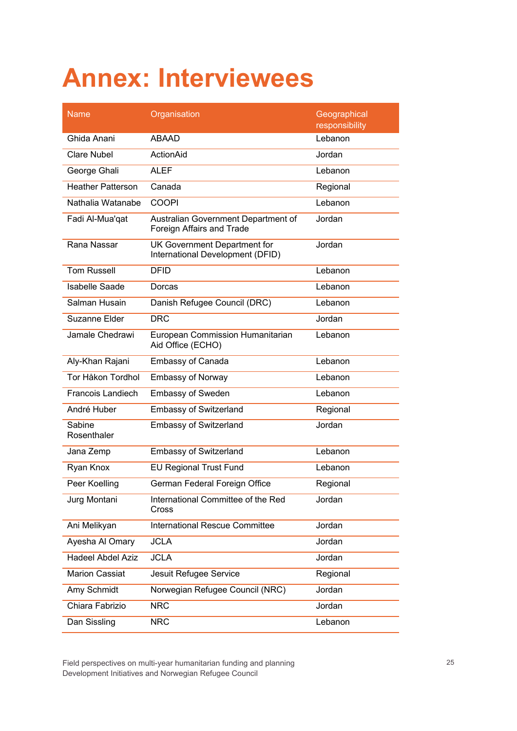## **Annex: Interviewees**

| <b>Name</b>              | Organisation                                                     | Geographical<br>responsibility |
|--------------------------|------------------------------------------------------------------|--------------------------------|
| Ghida Anani              | ABAAD                                                            | Lebanon                        |
| <b>Clare Nubel</b>       | <b>ActionAid</b>                                                 | Jordan                         |
| George Ghali             | <b>ALEF</b>                                                      | Lebanon                        |
| <b>Heather Patterson</b> | Canada                                                           | Regional                       |
| Nathalia Watanabe        | <b>COOPI</b>                                                     | Lebanon                        |
| Fadi Al-Mua'qat          | Australian Government Department of<br>Foreign Affairs and Trade | Jordan                         |
| Rana Nassar              | UK Government Department for<br>International Development (DFID) | Jordan                         |
| <b>Tom Russell</b>       | <b>DFID</b>                                                      | Lebanon                        |
| <b>Isabelle Saade</b>    | Dorcas                                                           | Lebanon                        |
| Salman Husain            | Danish Refugee Council (DRC)                                     | Lebanon                        |
| Suzanne Elder            | <b>DRC</b>                                                       | Jordan                         |
| Jamale Chedrawi          | European Commission Humanitarian<br>Aid Office (ECHO)            | Lebanon                        |
| Aly-Khan Rajani          | Embassy of Canada                                                | Lebanon                        |
| Tor Håkon Tordhol        | <b>Embassy of Norway</b>                                         | Lebanon                        |
| Francois Landiech        | <b>Embassy of Sweden</b>                                         | Lebanon                        |
| André Huber              | <b>Embassy of Switzerland</b>                                    | Regional                       |
| Sabine<br>Rosenthaler    | <b>Embassy of Switzerland</b>                                    | Jordan                         |
| Jana Zemp                | <b>Embassy of Switzerland</b>                                    | Lebanon                        |
| Ryan Knox                | <b>EU Regional Trust Fund</b>                                    | Lebanon                        |
| Peer Koelling            | German Federal Foreign Office                                    | Regional                       |
| Jurg Montani             | International Committee of the Red<br>Cross                      | Jordan                         |
| Ani Melikyan             | <b>International Rescue Committee</b>                            | Jordan                         |
| Ayesha Al Omary          | <b>JCLA</b>                                                      | Jordan                         |
| <b>Hadeel Abdel Aziz</b> | <b>JCLA</b>                                                      | Jordan                         |
| <b>Marion Cassiat</b>    | Jesuit Refugee Service                                           | Regional                       |
| Amy Schmidt              | Norwegian Refugee Council (NRC)                                  | Jordan                         |
| Chiara Fabrizio          | <b>NRC</b>                                                       | Jordan                         |
| Dan Sissling             | <b>NRC</b>                                                       | Lebanon                        |

Field perspectives on multi-year humanitarian funding and planning Development Initiatives and Norwegian Refugee Council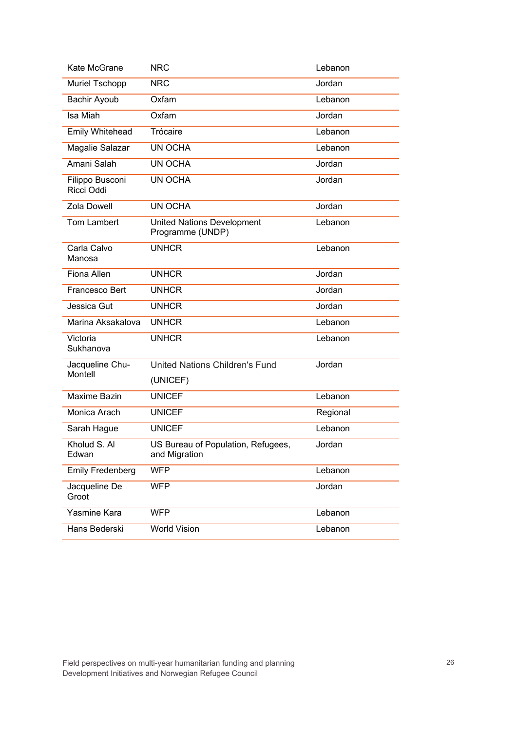| Kate McGrane                  | <b>NRC</b>                                            | Lebanon  |
|-------------------------------|-------------------------------------------------------|----------|
| <b>Muriel Tschopp</b>         | <b>NRC</b>                                            | Jordan   |
| Bachir Ayoub                  | Oxfam                                                 | Lebanon  |
| Isa Miah                      | Oxfam                                                 | Jordan   |
| <b>Emily Whitehead</b>        | Trócaire                                              | Lebanon  |
| Magalie Salazar               | UN OCHA                                               | Lebanon  |
| Amani Salah                   | UN OCHA                                               | Jordan   |
| Filippo Busconi<br>Ricci Oddi | UN OCHA                                               | Jordan   |
| <b>Zola Dowell</b>            | UN OCHA                                               | Jordan   |
| Tom Lambert                   | <b>United Nations Development</b><br>Programme (UNDP) | Lebanon  |
| Carla Calvo<br>Manosa         | <b>UNHCR</b>                                          | Lebanon  |
| Fiona Allen                   | <b>UNHCR</b>                                          | Jordan   |
| Francesco Bert                | <b>UNHCR</b>                                          | Jordan   |
| Jessica Gut                   | <b>UNHCR</b>                                          | Jordan   |
| Marina Aksakalova             | <b>UNHCR</b>                                          | Lebanon  |
| Victoria<br>Sukhanova         | <b>UNHCR</b>                                          | Lebanon  |
| Jacqueline Chu-               | <b>United Nations Children's Fund</b>                 | Jordan   |
| Montell                       | (UNICEF)                                              |          |
| Maxime Bazin                  | <b>UNICEF</b>                                         | Lebanon  |
| Monica Arach                  | <b>UNICEF</b>                                         | Regional |
| Sarah Hague                   | <b>UNICEF</b>                                         | Lebanon  |
| Kholud S. Al<br>Edwan         | US Bureau of Population, Refugees,<br>and Migration   | Jordan   |
| <b>Emily Fredenberg</b>       | <b>WFP</b>                                            | Lebanon  |
| Jacqueline De<br>Groot        | <b>WFP</b>                                            | Jordan   |
| Yasmine Kara                  | <b>WFP</b>                                            | Lebanon  |
| Hans Bederski                 | <b>World Vision</b>                                   | Lebanon  |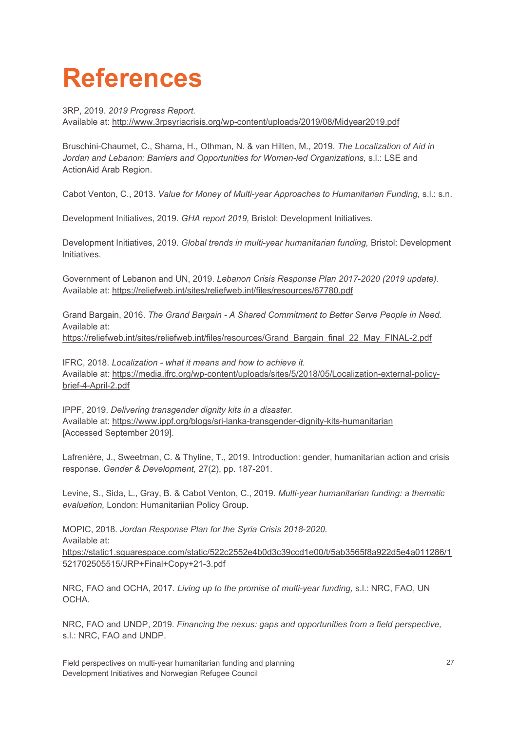## **References**

3RP, 2019. *2019 Progress Report.* Available at: http://www.3rpsyriacrisis.org/wp-content/uploads/2019/08/Midyear2019.pdf

Bruschini-Chaumet, C., Shama, H., Othman, N. & van Hilten, M., 2019. *The Localization of Aid in*  Jordan and Lebanon: Barriers and Opportunities for Women-led Organizations, s.l.: LSE and ActionAid Arab Region.

Cabot Venton, C., 2013. *Value for Money of Multi-year Approaches to Humanitarian Funding,* s.l.: s.n.

Development Initiatives, 2019. *GHA report 2019,* Bristol: Development Initiatives.

Development Initiatives, 2019. *Global trends in multi-year humanitarian funding,* Bristol: Development Initiatives.

Government of Lebanon and UN, 2019. *Lebanon Crisis Response Plan 2017-2020 (2019 update).* Available at: https://reliefweb.int/sites/reliefweb.int/files/resources/67780.pdf

Grand Bargain, 2016. *The Grand Bargain - A Shared Commitment to Better Serve People in Need.* Available at: https://reliefweb.int/sites/reliefweb.int/files/resources/Grand\_Bargain\_final\_22\_May\_FINAL-2.pdf

IFRC, 2018. *Localization - what it means and how to achieve it.* Available at: https://media.ifrc.org/wp-content/uploads/sites/5/2018/05/Localization-external-policybrief-4-April-2.pdf

IPPF, 2019. *Delivering transgender dignity kits in a disaster.* Available at: https://www.ippf.org/blogs/sri-lanka-transgender-dignity-kits-humanitarian [Accessed September 2019].

Lafrenière, J., Sweetman, C. & Thyline, T., 2019. Introduction: gender, humanitarian action and crisis response. *Gender & Development,* 27(2), pp. 187-201.

Levine, S., Sida, L., Gray, B. & Cabot Venton, C., 2019. *Multi-year humanitarian funding: a thematic evaluation,* London: Humanitariian Policy Group.

MOPIC, 2018. *Jordan Response Plan for the Syria Crisis 2018-2020.* Available at: https://static1.squarespace.com/static/522c2552e4b0d3c39ccd1e00/t/5ab3565f8a922d5e4a011286/1 521702505515/JRP+Final+Copy+21-3.pdf

NRC, FAO and OCHA, 2017. *Living up to the promise of multi-year funding,* s.l.: NRC, FAO, UN OCHA.

NRC, FAO and UNDP, 2019. *Financing the nexus: gaps and opportunities from a field perspective,*  s.l.: NRC, FAO and UNDP.

Field perspectives on multi-year humanitarian funding and planning Development Initiatives and Norwegian Refugee Council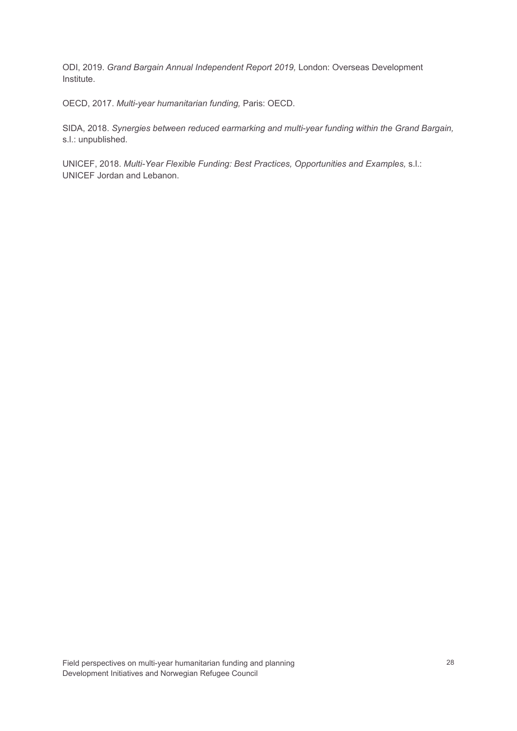ODI, 2019. *Grand Bargain Annual Independent Report 2019,* London: Overseas Development Institute.

OECD, 2017. *Multi-year humanitarian funding,* Paris: OECD.

SIDA, 2018. *Synergies between reduced earmarking and multi-year funding within the Grand Bargain,*  s.l.: unpublished.

UNICEF, 2018. *Multi-Year Flexible Funding: Best Practices, Opportunities and Examples,* s.l.: UNICEF Jordan and Lebanon.